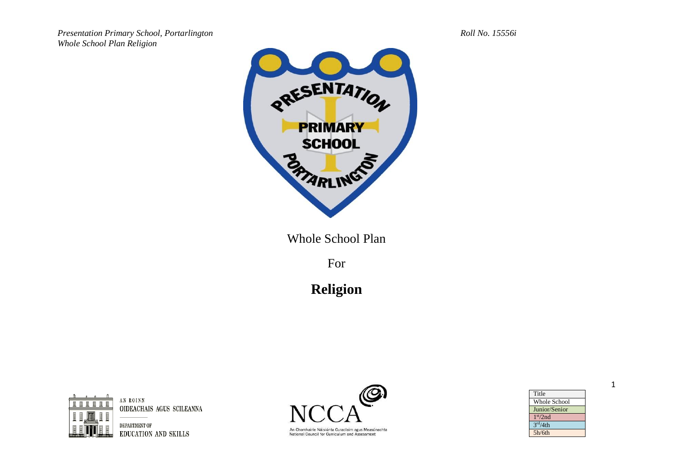

Whole School Plan

For

**Religion**



AN ROINN OIDEACHAIS AGUS SCILEANNA

DEPARTMENT OF **EDUCATION AND SKILLS** 



An Chomhairle Náisiúnta Curaclaim agus Measúnachta<br>National Council for Curriculum and Assessment

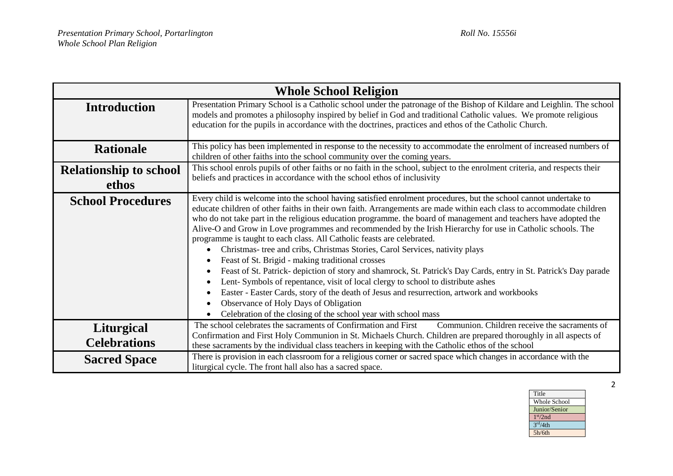|                                        | <b>Whole School Religion</b>                                                                                                                                                                                                                                                                                                                                                                                                                                                                                                                                                                                                                                                                                                                                                                                                                                                                                                                                                                                                                                                                                                              |
|----------------------------------------|-------------------------------------------------------------------------------------------------------------------------------------------------------------------------------------------------------------------------------------------------------------------------------------------------------------------------------------------------------------------------------------------------------------------------------------------------------------------------------------------------------------------------------------------------------------------------------------------------------------------------------------------------------------------------------------------------------------------------------------------------------------------------------------------------------------------------------------------------------------------------------------------------------------------------------------------------------------------------------------------------------------------------------------------------------------------------------------------------------------------------------------------|
| <b>Introduction</b>                    | Presentation Primary School is a Catholic school under the patronage of the Bishop of Kildare and Leighlin. The school<br>models and promotes a philosophy inspired by belief in God and traditional Catholic values. We promote religious<br>education for the pupils in accordance with the doctrines, practices and ethos of the Catholic Church.                                                                                                                                                                                                                                                                                                                                                                                                                                                                                                                                                                                                                                                                                                                                                                                      |
| <b>Rationale</b>                       | This policy has been implemented in response to the necessity to accommodate the enrolment of increased numbers of<br>children of other faiths into the school community over the coming years.                                                                                                                                                                                                                                                                                                                                                                                                                                                                                                                                                                                                                                                                                                                                                                                                                                                                                                                                           |
| <b>Relationship to school</b><br>ethos | This school enrols pupils of other faiths or no faith in the school, subject to the enrolment criteria, and respects their<br>beliefs and practices in accordance with the school ethos of inclusivity                                                                                                                                                                                                                                                                                                                                                                                                                                                                                                                                                                                                                                                                                                                                                                                                                                                                                                                                    |
| <b>School Procedures</b>               | Every child is welcome into the school having satisfied enrolment procedures, but the school cannot undertake to<br>educate children of other faiths in their own faith. Arrangements are made within each class to accommodate children<br>who do not take part in the religious education programme. the board of management and teachers have adopted the<br>Alive-O and Grow in Love programmes and recommended by the Irish Hierarchy for use in Catholic schools. The<br>programme is taught to each class. All Catholic feasts are celebrated.<br>Christmas- tree and cribs, Christmas Stories, Carol Services, nativity plays<br>Feast of St. Brigid - making traditional crosses<br>٠<br>Feast of St. Patrick- depiction of story and shamrock, St. Patrick's Day Cards, entry in St. Patrick's Day parade<br>$\bullet$<br>Lent-Symbols of repentance, visit of local clergy to school to distribute ashes<br>Easter - Easter Cards, story of the death of Jesus and resurrection, artwork and workbooks<br>Observance of Holy Days of Obligation<br>$\bullet$<br>Celebration of the closing of the school year with school mass |
| Liturgical<br><b>Celebrations</b>      | The school celebrates the sacraments of Confirmation and First<br>Communion. Children receive the sacraments of<br>Confirmation and First Holy Communion in St. Michaels Church. Children are prepared thoroughly in all aspects of<br>these sacraments by the individual class teachers in keeping with the Catholic ethos of the school                                                                                                                                                                                                                                                                                                                                                                                                                                                                                                                                                                                                                                                                                                                                                                                                 |
| <b>Sacred Space</b>                    | There is provision in each classroom for a religious corner or sacred space which changes in accordance with the<br>liturgical cycle. The front hall also has a sacred space.                                                                                                                                                                                                                                                                                                                                                                                                                                                                                                                                                                                                                                                                                                                                                                                                                                                                                                                                                             |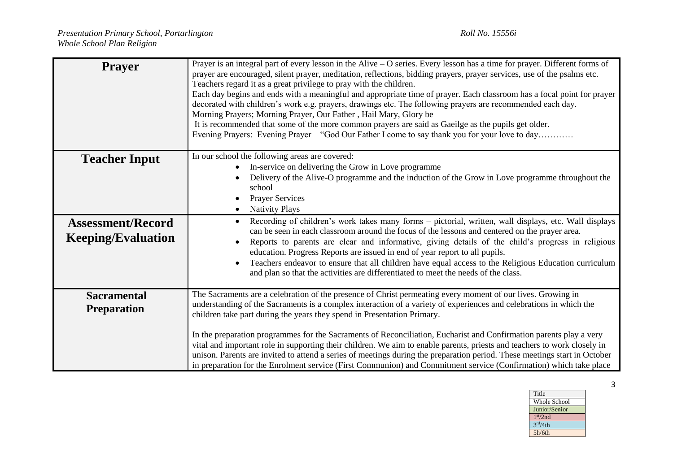| <b>Prayer</b>                                         | Prayer is an integral part of every lesson in the Alive – O series. Every lesson has a time for prayer. Different forms of<br>prayer are encouraged, silent prayer, meditation, reflections, bidding prayers, prayer services, use of the psalms etc.<br>Teachers regard it as a great privilege to pray with the children.<br>Each day begins and ends with a meaningful and appropriate time of prayer. Each classroom has a focal point for prayer<br>decorated with children's work e.g. prayers, drawings etc. The following prayers are recommended each day.<br>Morning Prayers; Morning Prayer, Our Father, Hail Mary, Glory be<br>It is recommended that some of the more common prayers are said as Gaeilge as the pupils get older.<br>Evening Prayers: Evening Prayer "God Our Father I come to say thank you for your love to day |  |  |  |  |  |  |  |  |
|-------------------------------------------------------|------------------------------------------------------------------------------------------------------------------------------------------------------------------------------------------------------------------------------------------------------------------------------------------------------------------------------------------------------------------------------------------------------------------------------------------------------------------------------------------------------------------------------------------------------------------------------------------------------------------------------------------------------------------------------------------------------------------------------------------------------------------------------------------------------------------------------------------------|--|--|--|--|--|--|--|--|
| <b>Teacher Input</b>                                  | In our school the following areas are covered:<br>In-service on delivering the Grow in Love programme<br>Delivery of the Alive-O programme and the induction of the Grow in Love programme throughout the<br>school<br><b>Prayer Services</b><br><b>Nativity Plays</b>                                                                                                                                                                                                                                                                                                                                                                                                                                                                                                                                                                         |  |  |  |  |  |  |  |  |
| <b>Assessment/Record</b><br><b>Keeping/Evaluation</b> | Recording of children's work takes many forms - pictorial, written, wall displays, etc. Wall displays<br>can be seen in each classroom around the focus of the lessons and centered on the prayer area.<br>Reports to parents are clear and informative, giving details of the child's progress in religious<br>education. Progress Reports are issued in end of year report to all pupils.<br>Teachers endeavor to ensure that all children have equal access to the Religious Education curriculum<br>and plan so that the activities are differentiated to meet the needs of the class.                                                                                                                                                                                                                                                     |  |  |  |  |  |  |  |  |
| <b>Sacramental</b><br><b>Preparation</b>              | The Sacraments are a celebration of the presence of Christ permeating every moment of our lives. Growing in<br>understanding of the Sacraments is a complex interaction of a variety of experiences and celebrations in which the<br>children take part during the years they spend in Presentation Primary.<br>In the preparation programmes for the Sacraments of Reconciliation, Eucharist and Confirmation parents play a very<br>vital and important role in supporting their children. We aim to enable parents, priests and teachers to work closely in<br>unison. Parents are invited to attend a series of meetings during the preparation period. These meetings start in October<br>in preparation for the Enrolment service (First Communion) and Commitment service (Confirmation) which take place                               |  |  |  |  |  |  |  |  |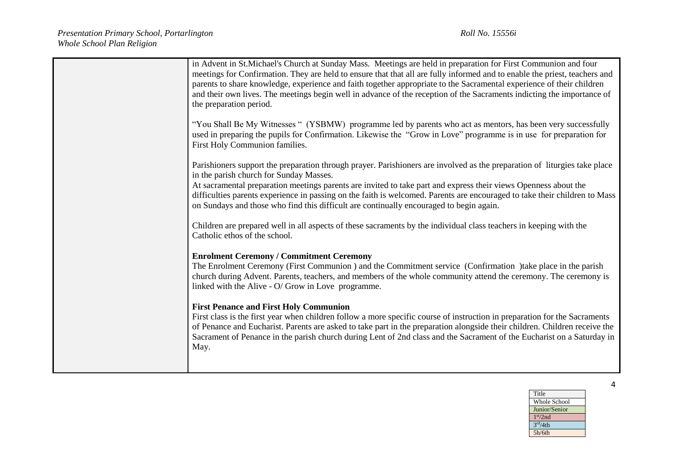| in Advent in St. Michael's Church at Sunday Mass. Meetings are held in preparation for First Communion and four<br>meetings for Confirmation. They are held to ensure that that all are fully informed and to enable the priest, teachers and<br>parents to share knowledge, experience and faith together appropriate to the Sacramental experience of their children<br>and their own lives. The meetings begin well in advance of the reception of the Sacraments indicting the importance of<br>the preparation period. |
|-----------------------------------------------------------------------------------------------------------------------------------------------------------------------------------------------------------------------------------------------------------------------------------------------------------------------------------------------------------------------------------------------------------------------------------------------------------------------------------------------------------------------------|
| "You Shall Be My Witnesses " (YSBMW) programme led by parents who act as mentors, has been very successfully<br>used in preparing the pupils for Confirmation. Likewise the "Grow in Love" programme is in use for preparation for<br>First Holy Communion families.                                                                                                                                                                                                                                                        |
| Parishioners support the preparation through prayer. Parishioners are involved as the preparation of liturgies take place<br>in the parish church for Sunday Masses.                                                                                                                                                                                                                                                                                                                                                        |
| At sacramental preparation meetings parents are invited to take part and express their views Openness about the<br>difficulties parents experience in passing on the faith is welcomed. Parents are encouraged to take their children to Mass<br>on Sundays and those who find this difficult are continually encouraged to begin again.                                                                                                                                                                                    |
| Children are prepared well in all aspects of these sacraments by the individual class teachers in keeping with the<br>Catholic ethos of the school.                                                                                                                                                                                                                                                                                                                                                                         |
| <b>Enrolment Ceremony / Commitment Ceremony</b>                                                                                                                                                                                                                                                                                                                                                                                                                                                                             |
| The Enrolment Ceremony (First Communion ) and the Commitment service (Confirmation )take place in the parish<br>church during Advent. Parents, teachers, and members of the whole community attend the ceremony. The ceremony is<br>linked with the Alive - O/ Grow in Love programme.                                                                                                                                                                                                                                      |
| <b>First Penance and First Holy Communion</b><br>First class is the first year when children follow a more specific course of instruction in preparation for the Sacraments<br>of Penance and Eucharist. Parents are asked to take part in the preparation alongside their children. Children receive the<br>Sacrament of Penance in the parish church during Lent of 2nd class and the Sacrament of the Eucharist on a Saturday in<br>May.                                                                                 |
|                                                                                                                                                                                                                                                                                                                                                                                                                                                                                                                             |

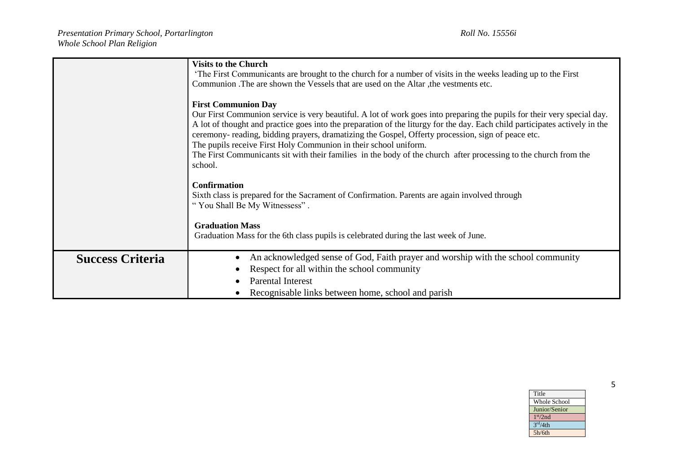|                         | <b>Visits to the Church</b><br>The First Communicants are brought to the church for a number of visits in the weeks leading up to the First<br>Communion . The are shown the Vessels that are used on the Altar, the vestments etc.<br><b>First Communion Day</b><br>Our First Communion service is very beautiful. A lot of work goes into preparing the pupils for their very special day.<br>A lot of thought and practice goes into the preparation of the liturgy for the day. Each child participates actively in the<br>ceremony- reading, bidding prayers, dramatizing the Gospel, Offerty procession, sign of peace etc.<br>The pupils receive First Holy Communion in their school uniform.<br>The First Communicants sit with their families in the body of the church after processing to the church from the<br>school.<br><b>Confirmation</b><br>Sixth class is prepared for the Sacrament of Confirmation. Parents are again involved through<br>"You Shall Be My Witnessess". |  |  |  |  |  |  |  |  |
|-------------------------|-----------------------------------------------------------------------------------------------------------------------------------------------------------------------------------------------------------------------------------------------------------------------------------------------------------------------------------------------------------------------------------------------------------------------------------------------------------------------------------------------------------------------------------------------------------------------------------------------------------------------------------------------------------------------------------------------------------------------------------------------------------------------------------------------------------------------------------------------------------------------------------------------------------------------------------------------------------------------------------------------|--|--|--|--|--|--|--|--|
|                         | <b>Graduation Mass</b><br>Graduation Mass for the 6th class pupils is celebrated during the last week of June.                                                                                                                                                                                                                                                                                                                                                                                                                                                                                                                                                                                                                                                                                                                                                                                                                                                                                |  |  |  |  |  |  |  |  |
| <b>Success Criteria</b> | An acknowledged sense of God, Faith prayer and worship with the school community<br>Respect for all within the school community<br>Parental Interest<br>Recognisable links between home, school and parish                                                                                                                                                                                                                                                                                                                                                                                                                                                                                                                                                                                                                                                                                                                                                                                    |  |  |  |  |  |  |  |  |

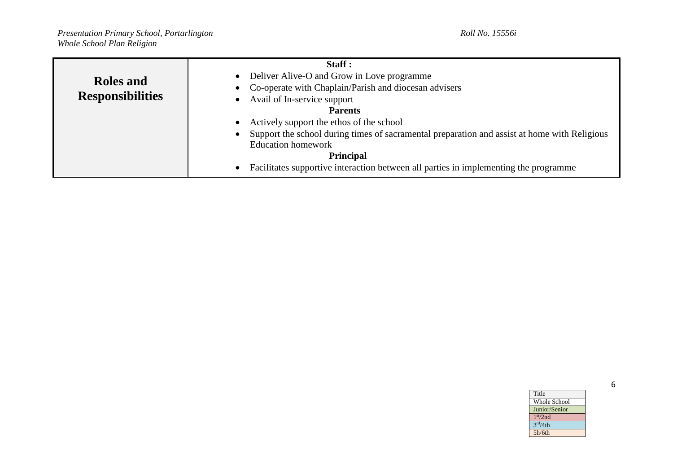|                         | Staff:                                                                                                    |
|-------------------------|-----------------------------------------------------------------------------------------------------------|
| <b>Roles</b> and        | Deliver Alive-O and Grow in Love programme<br>$\bullet$                                                   |
|                         | Co-operate with Chaplain/Parish and diocesan advisers                                                     |
| <b>Responsibilities</b> | Avail of In-service support                                                                               |
|                         | <b>Parents</b>                                                                                            |
|                         | Actively support the ethos of the school<br>$\bullet$                                                     |
|                         | Support the school during times of sacramental preparation and assist at home with Religious<br>$\bullet$ |
|                         | <b>Education homework</b>                                                                                 |
|                         | <b>Principal</b>                                                                                          |
|                         | Facilitates supportive interaction between all parties in implementing the programme<br>$\bullet$         |

| Title                |
|----------------------|
| <b>Whole School</b>  |
| Junior/Senior        |
| 1 <sup>st</sup> /2nd |
| 3 <sup>rd</sup> /4th |
| 5h/6th               |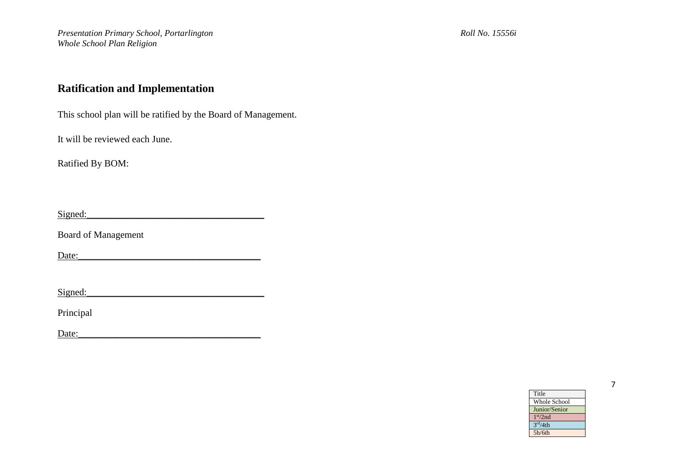# **Ratification and Implementation**

This school plan will be ratified by the Board of Management.

It will be reviewed each June.

Ratified By BOM:

 $Signed:$ 

Board of Management

Date:\_\_\_\_\_\_\_\_\_\_\_\_\_\_\_\_\_\_\_\_\_\_\_\_\_\_\_\_\_\_\_\_\_\_\_\_\_\_

 $Signed:$ 

Principal

Date:\_\_\_\_\_\_\_\_\_\_\_\_\_\_\_\_\_\_\_\_\_\_\_\_\_\_\_\_\_\_\_\_\_\_\_\_\_\_

| Title                |  |
|----------------------|--|
| <b>Whole School</b>  |  |
| Junior/Senior        |  |
| 1 <sup>st</sup> /2nd |  |
| 3 <sup>rd</sup> /4th |  |
| 5h/6th               |  |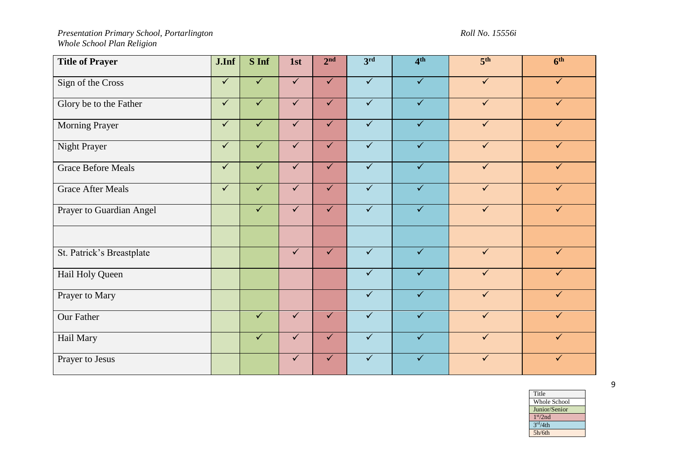| <b>Title of Prayer</b>    | J.Inf        | S Inf        | 1st          | 2 <sup>nd</sup> | 3rd                     | 4 <sup>th</sup>         | 5 <sup>th</sup> | 6 <sup>th</sup> |
|---------------------------|--------------|--------------|--------------|-----------------|-------------------------|-------------------------|-----------------|-----------------|
| Sign of the Cross         | $\checkmark$ | $\checkmark$ | $\checkmark$ | $\checkmark$    | $\sqrt{}$               | $\sqrt{}$               | $\checkmark$    | $\checkmark$    |
| Glory be to the Father    | $\checkmark$ | $\checkmark$ | $\checkmark$ | $\checkmark$    | $\sqrt{}$               | $\overline{\checkmark}$ | $\checkmark$    | $\checkmark$    |
| Morning Prayer            | $\checkmark$ | $\checkmark$ | $\checkmark$ | $\checkmark$    | $\checkmark$            | $\checkmark$            | $\checkmark$    | $\checkmark$    |
| Night Prayer              | $\checkmark$ | $\checkmark$ | $\checkmark$ | $\checkmark$    | $\checkmark$            | $\checkmark$            | $\checkmark$    | ✓               |
| <b>Grace Before Meals</b> | $\checkmark$ | $\checkmark$ | $\checkmark$ | $\checkmark$    | $\sqrt{}$               | $\sqrt{}$               | $\checkmark$    | $\checkmark$    |
| <b>Grace After Meals</b>  | $\checkmark$ | $\checkmark$ | $\checkmark$ | $\checkmark$    | $\overline{\checkmark}$ | $\overline{\checkmark}$ | $\checkmark$    | $\checkmark$    |
| Prayer to Guardian Angel  |              | $\checkmark$ | $\checkmark$ | $\checkmark$    | $\overline{\checkmark}$ | $\sqrt{}$               | $\checkmark$    | $\checkmark$    |
|                           |              |              |              |                 |                         |                         |                 |                 |
| St. Patrick's Breastplate |              |              | $\checkmark$ | $\checkmark$    | $\checkmark$            | $\checkmark$            | $\checkmark$    | $\checkmark$    |
| Hail Holy Queen           |              |              |              |                 | $\checkmark$            | $\checkmark$            | $\checkmark$    | $\checkmark$    |
| Prayer to Mary            |              |              |              |                 | $\sqrt{}$               | $\sqrt{}$               | $\checkmark$    | $\checkmark$    |
| <b>Our Father</b>         |              | $\checkmark$ | $\checkmark$ | $\checkmark$    | $\overline{\checkmark}$ | $\checkmark$            | $\checkmark$    | $\checkmark$    |
| Hail Mary                 |              | $\checkmark$ | $\checkmark$ | $\checkmark$    | $\checkmark$            | $\checkmark$            | $\checkmark$    | $\checkmark$    |
| Prayer to Jesus           |              |              | $\checkmark$ | $\checkmark$    | ✓                       | ✓                       |                 |                 |

| Title                |
|----------------------|
| Whole School         |
| Junior/Senior        |
| 1 <sup>st</sup> /2nd |
| 3 <sup>rd</sup> /4th |
| 5h/6th               |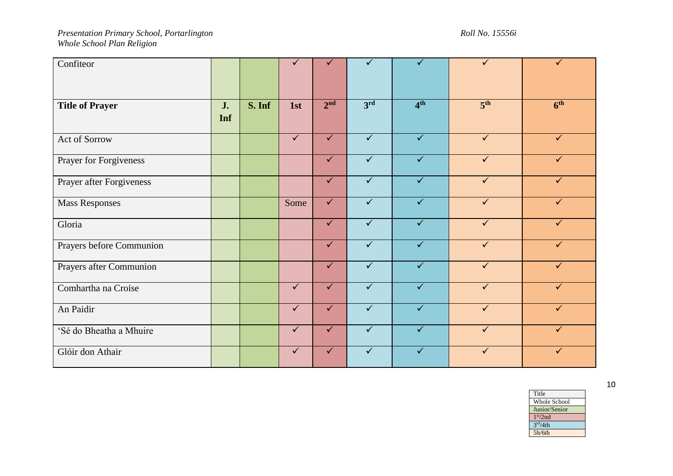| Confiteor                |           |        | $\checkmark$ | $\checkmark$    | $\checkmark$ | $\checkmark$            | $\checkmark$    | $\checkmark$        |
|--------------------------|-----------|--------|--------------|-----------------|--------------|-------------------------|-----------------|---------------------|
| <b>Title of Prayer</b>   | J.<br>Inf | S. Inf | 1st          | 2 <sup>nd</sup> | 3rd          | 4 <sup>th</sup>         | 5 <sup>th</sup> | $\overline{6^{th}}$ |
| Act of Sorrow            |           |        | $\checkmark$ | $\checkmark$    | $\checkmark$ | $\checkmark$            | $\checkmark$    | $\checkmark$        |
| Prayer for Forgiveness   |           |        |              | $\checkmark$    | $\checkmark$ | $\checkmark$            | $\checkmark$    | $\checkmark$        |
| Prayer after Forgiveness |           |        |              | $\sqrt{}$       | $\sqrt{}$    | $\sqrt{}$               | $\checkmark$    | $\checkmark$        |
| <b>Mass Responses</b>    |           |        | Some         | $\checkmark$    | $\sqrt{}$    | $\overline{\checkmark}$ | $\checkmark$    | $\checkmark$        |
| Gloria                   |           |        |              | $\checkmark$    | $\sqrt{}$    | $\overline{\checkmark}$ | $\checkmark$    | $\checkmark$        |
| Prayers before Communion |           |        |              | $\checkmark$    | $\checkmark$ | $\checkmark$            | $\checkmark$    | $\checkmark$        |
| Prayers after Communion  |           |        |              | $\checkmark$    | $\checkmark$ | $\checkmark$            | $\checkmark$    | $\checkmark$        |
| Comhartha na Croise      |           |        | $\checkmark$ | $\checkmark$    | $\checkmark$ | $\checkmark$            | $\checkmark$    | $\checkmark$        |
| An Paidir                |           |        | $\checkmark$ | $\checkmark$    | $\sqrt{}$    | $\sqrt{}$               | $\checkmark$    | $\checkmark$        |
| 'Sé do Bheatha a Mhuire  |           |        | $\checkmark$ | $\checkmark$    | $\sqrt{}$    | $\sqrt{}$               | $\checkmark$    | $\checkmark$        |
| Glóir don Athair         |           |        | $\checkmark$ | $\checkmark$    | $\checkmark$ | $\checkmark$            | ✓               | ✓                   |

| Title                |  |
|----------------------|--|
| Whole School         |  |
| Junior/Senior        |  |
| 1 <sup>st</sup> /2nd |  |
| 3 <sup>rd</sup> /4th |  |
| 5h/6th               |  |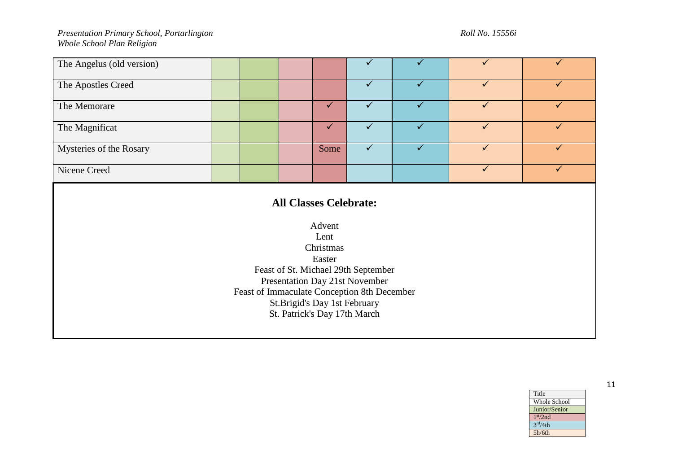| The Angelus (old version) |  |      |  |  |
|---------------------------|--|------|--|--|
| The Apostles Creed        |  |      |  |  |
| The Memorare              |  |      |  |  |
| The Magnificat            |  |      |  |  |
| Mysteries of the Rosary   |  | Some |  |  |
| Nicene Creed              |  |      |  |  |

# **All Classes Celebrate:**

Advent Lent Christmas Easter Feast of St. Michael 29th September Presentation Day 21st November Feast of Immaculate Conception 8th December St.Brigid's Day 1st February St. Patrick's Day 17th March

> Title Whole School Junior/Senior 1 st/2nd  $3<sup>rd</sup>/4th$ 5h/6th